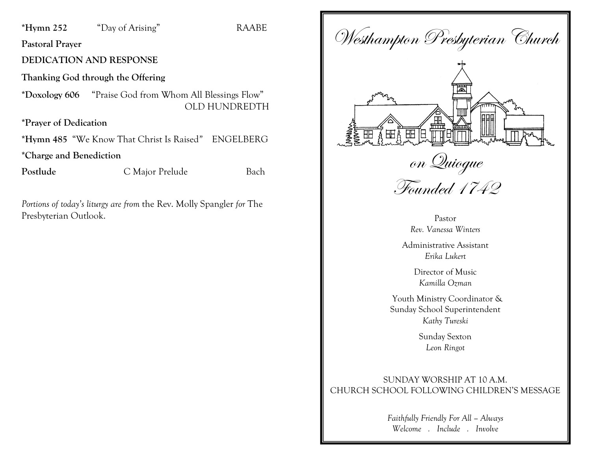#### **\*Hymn 252** "Day of Arising" RAABE

**Pastoral Prayer**

#### **DEDICATION AND RESPONSE**

**Thanking God through the Offering**

**\*Doxology 606** "Praise God from Whom All Blessings Flow"OLD HUNDREDTH

**\*Prayer of Dedication**

**\*Hymn 485** "We Know That Christ Is Raised*"* ENGELBERG

**\*Charge and Benediction** 

**Postlude** C Major Prelude Bach

*Portions of today's liturgy are from* the Rev. Molly Spangler *for* The Presbyterian Outlook.

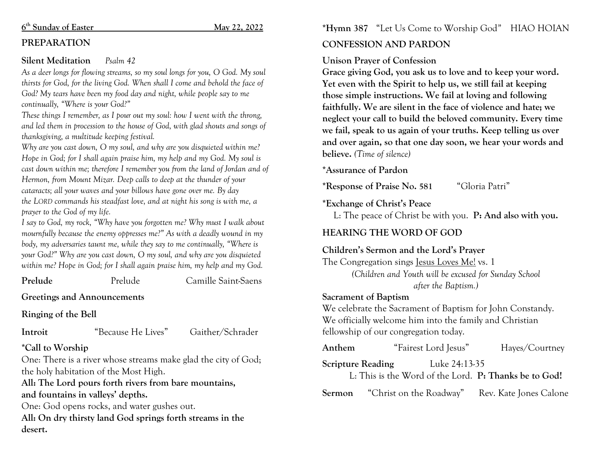#### **6th Sunday of Easter May 22, 2022**

## **PREPARATION**

#### **Silent Meditation** *Psalm 42*

*As a deer longs for flowing streams, so my soul longs for you, O God. My soul thirsts for God, for the living God. When shall I come and behold the face of God? My tears have been my food day and night, while people say to me continually, "Where is your God?"*

*These things I remember, as I pour out my soul: how I went with the throng, and led them in procession to the house of God, with glad shouts and songs of thanksgiving, a multitude keeping festival.*

*Why are you cast down, O my soul, and why are you disquieted within me? Hope in God; for I shall again praise him, my help and my God. My soul is cast down within me; therefore I remember you from the land of Jordan and of Hermon, from Mount Mizar. Deep calls to deep at the thunder of your cataracts; all your waves and your billows have gone over me. By day the LORD commands his steadfast love, and at night his song is with me, a prayer to the God of my life.*

*I say to God, my rock, "Why have you forgotten me? Why must I walk about mournfully because the enemy oppresses me?" As with a deadly wound in my body, my adversaries taunt me, while they say to me continually, "Where is your God?" Why are you cast down, O my soul, and why are you disquieted within me? Hope in God; for I shall again praise him, my help and my God.*

**Prelude** Prelude Camille Saint-Saens

**Greetings and Announcements**

**Ringing of the Bell**

**Introit** "Because He Lives" Gaither/Schrader

## **\*Call to Worship**

One: There is a river whose streams make glad the city of God; the holy habitation of the Most High.

**All: The Lord pours forth rivers from bare mountains, and fountains in valleys' depths.** 

One: God opens rocks, and water gushes out. **All: On dry thirsty land God springs forth streams in the desert.** 

## **\*Hymn 387** "Let Us Come to Worship God*"* HIAO HOIAN

# **CONFESSION AND PARDON**

## **Unison Prayer of Confession**

**Grace giving God, you ask us to love and to keep your word. Yet even with the Spirit to help us, we still fail at keeping those simple instructions. We fail at loving and following faithfully. We are silent in the face of violence and hate; we neglect your call to build the beloved community. Every time we fail, speak to us again of your truths. Keep telling us over and over again, so that one day soon, we hear your words and believe.** *(Time of silence)*

## **\*Assurance of Pardon**

**\*Response of Praise No. 581** "Gloria Patri"

## **\*Exchange of Christ's Peace**

L: The peace of Christ be with you. **P: And also with you.**

## **HEARING THE WORD OF GOD**

# **Children's Sermon and the Lord's Prayer**

The Congregation sings Jesus Loves Me! vs. 1 *(Children and Youth will be excused for Sunday School after the Baptism.)*

### **Sacrament of Baptism**

We celebrate the Sacrament of Baptism for John Constandy. We officially welcome him into the family and Christian fellowship of our congregation today.

| Anthem                                                | "Fairest Lord Jesus"                  | Hayes/Courtney         |  |
|-------------------------------------------------------|---------------------------------------|------------------------|--|
| <b>Scripture Reading</b><br>Luke 24:13-35             |                                       |                        |  |
| L: This is the Word of the Lord. P: Thanks be to God! |                                       |                        |  |
|                                                       | <b>Sermon</b> "Christ on the Roadway" | Rev. Kate Jones Calone |  |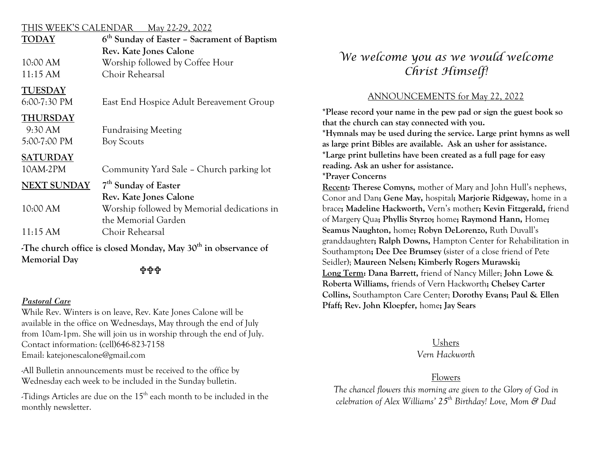#### THIS WEEK'S CALENDAR May 22-29, 2022

| <b>TODAY</b>                                                    | 6 <sup>th</sup> Sunday of Easter – Sacrament of Baptism |  |  |
|-----------------------------------------------------------------|---------------------------------------------------------|--|--|
|                                                                 | Rev. Kate Jones Calone                                  |  |  |
| 10:00 AM                                                        | Worship followed by Coffee Hour                         |  |  |
| 11:15 AM                                                        | Choir Rehearsal                                         |  |  |
| <b>TUESDAY</b>                                                  |                                                         |  |  |
| $6:00-7:30$ PM                                                  | East End Hospice Adult Bereavement Group                |  |  |
| <b>THURSDAY</b>                                                 |                                                         |  |  |
| 9:30 AM                                                         | <b>Fundraising Meeting</b>                              |  |  |
| 5:00-7:00 PM                                                    | <b>Boy Scouts</b>                                       |  |  |
| <b>SATURDAY</b>                                                 |                                                         |  |  |
| 10AM-2PM                                                        | Community Yard Sale - Church parking lot                |  |  |
| <b>NEXT SUNDAY</b>                                              | 7 <sup>th</sup> Sunday of Easter                        |  |  |
|                                                                 | Rev. Kate Jones Calone                                  |  |  |
| 10:00 AM                                                        | Worship followed by Memorial dedications in             |  |  |
|                                                                 | the Memorial Garden                                     |  |  |
| 11:15 AM                                                        | Choir Rehearsal                                         |  |  |
| The church office is closed Monday, May $30th$ in observance of |                                                         |  |  |

**Memorial Day**

#### 

#### *Pastoral Care*

While Rev. Winters is on leave, Rev. Kate Jones Calone will be available in the office on Wednesdays, May through the end of July from 10am-1pm. She will join us in worship through the end of July. Contact information: (cell)646-823-7158 Email: katejonescalone@gmail.com

-All Bulletin announcements must be received to the office by Wednesday each week to be included in the Sunday bulletin.

-Tidings Articles are due on the 15th each month to be included in the monthly newsletter.

# *We welcome you as we would welcome Christ Himself!*

## ANNOUNCEMENTS for May 22, 2022

**\*Please record your name in the pew pad or sign the guest book so that the church can stay connected with you. \*Hymnals may be used during the service. Large print hymns as well as large print Bibles are available. Ask an usher for assistance. \*Large print bulletins have been created as a full page for easy reading. Ask an usher for assistance. \*Prayer Concerns Recent: Therese Comyns,** mother of Mary and John Hull's nephews, Conor and Dan**; Gene May,** hospital**; Marjorie Ridgeway,** home in a brace**; Madeline Hackworth,** Vern's mother**; Kevin Fitzgerald,** friend of Margery Qua**; Phyllis Styrzo;** home**; Raymond Hann,** Home**; Seamus Naughton,** home**; Robyn DeLorenzo,** Ruth Duvall's granddaughter**; Ralph Downs,** Hampton Center for Rehabilitation in Southampton**; Dee Dee Brumsey** (sister of a close friend of Pete Seidler); **Maureen Nelsen; Kimberly Rogers Murawski; Long Term: Dana Barrett,** friend of Nancy Miller; **John Lowe & Roberta Williams,** friends of Vern Hackworth**; Chelsey Carter Collins,** Southampton Care Center; **Dorothy Evans; Paul & Ellen Pfaff; Rev. John Kloepfer,** home**; Jay Sears**

> Ushers *Vern Hackworth*

#### Flowers

*The chancel flowers this morning are given to the Glory of God in celebration of Alex Williams' 25th Birthday! Love, Mom & Dad*